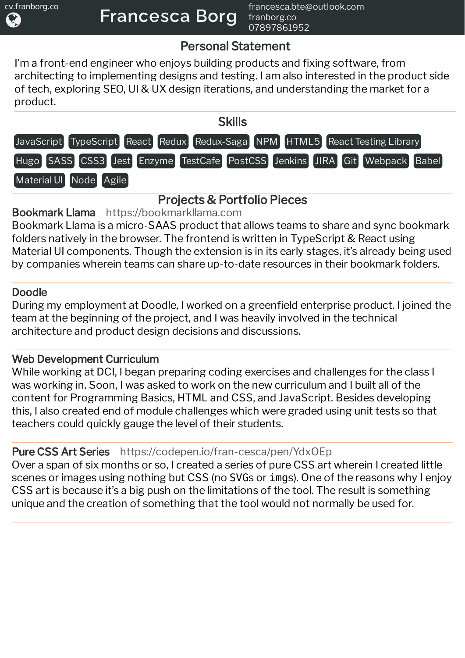# Personal Statement

I'm a front-end engineer who enjoys building products and fixing software, from architecting to implementing designs and testing. I am also interested in the product side of tech, exploring SEO, UI & UX design iterations, and understanding the market for a product.



# Projects & Portfolio Pieces

Bookmark Llama [https://bookmarkllama.com](https://bookmarkllama.com/)

Bookmark Llama is a micro-SAAS product that allows teams to share and sync bookmark folders natively in the browser. The frontend is written in TypeScript & React using Material UI components. Though the extension is in its early stages, it's already being used by companies wherein teams can share up-to-date resources in their bookmark folders.

### Doodle

During my employment at Doodle, I worked on a greenfield enterprise product. I joined the team at the beginning of the project, and I was heavily involved in the technical architecture and product design decisions and discussions.

## Web Development Curriculum

While working at DCI, I began preparing coding exercises and challenges for the class I was working in. Soon, I was asked to work on the new curriculum and I built all of the content for Programming Basics, HTML and CSS, and JavaScript. Besides developing this, I also created end of module challenges which were graded using unit tests so that teachers could quickly gauge the level of their students.

### Pure CSS Art Series <https://codepen.io/fran-cesca/pen/YdxOEp>

Over a span of six months or so, I created a series of pure CSS art wherein I created little scenes or images using nothing but CSS (no SVGs or imgs). One of the reasons why I enjoy CSS art is because it's a big push on the limitations of the tool. The result is something unique and the creation of something that the tool would not normally be used for.